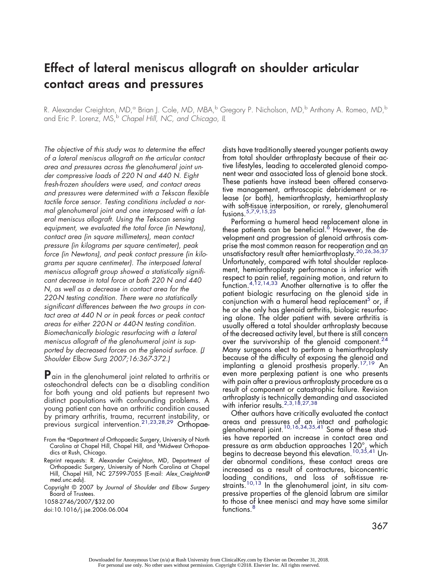# **Effect of lateral meniscus allograft on shoulder articular contact areas and pressures**

R. Alexander Creighton, MD,<sup>a</sup> Brian J. Cole, MD, MBA,<sup>b</sup> Gregory P. Nicholson, MD,<sup>b</sup> Anthony A. Romeo, MD,<sup>b</sup> and Eric P. Lorenz, MS,<sup>b</sup> Chapel Hill, NC, and Chicago, IL

*The objective of this study was to determine the effect of a lateral meniscus allograft on the articular contact area and pressures across the glenohumeral joint under compressive loads of 220 N and 440 N. Eight fresh-frozen shoulders were used, and contact areas and pressures were determined with a Tekscan flexible tactile force sensor. Testing conditions included a normal glenohumeral joint and one interposed with a lateral meniscus allograft. Using the Tekscan sensing equipment, we evaluated the total force (in Newtons), contact area (in square millimeters), mean contact pressure (in kilograms per square centimeter), peak force (in Newtons), and peak contact pressure (in kilograms per square centimeter). The interposed lateral meniscus allograft group showed a statistically significant decrease in total force at both 220 N and 440 N, as well as a decrease in contact area for the 220-N testing condition. There were no statistically significant differences between the two groups in contact area at 440 N or in peak forces or peak contact areas for either 220-N or 440-N testing condition. Biomechanically biologic resurfacing with a lateral meniscus allograft of the glenohumeral joint is supported by decreased forces on the glenoid surface. (J Shoulder Elbow Surg 2007;16:367-372.)*

**P**ain in the glenohumeral joint related to arthritis or osteochondral defects can be a disabling condition for both young and old patients but represent two distinct populations with confounding problems. A young patient can have an arthritic condition caused by primary arthritis, trauma, recurrent instability, or previous surgical intervention.21,23,28,29 Orthopae-

Copyright © 2007 by *Journal of Shoulder and Elbow Surgery* Board of Trustees.

1058-2746/2007/\$32.00

doi:10.1016/j.jse.2006.06.004

dists have traditionally steered younger patients away from total shoulder arthroplasty because of their active lifestyles, leading to accelerated glenoid component wear and associated loss of glenoid bone stock. These patients have instead been offered conservative management, arthroscopic debridement or release (or both), hemiarthroplasty, hemiarthroplasty with soft-tissue interposition, or rarely, glenohumeral fusions.5,7,9,15,25

Performing a humeral head replacement alone in these patients can be beneficial. $6$  However, the development and progression of glenoid arthrosis comprise the most common reason for reoperation and an unsatisfactory result after hemiarthroplasty.20,26,36,37 Unfortunately, compared with total shoulder replacement, hemiarthroplasty performance is inferior with respect to pain relief, regaining motion, and return to function.<sup>4,12,14,33</sup> Another alternative is to offer the patient biologic resurfacing on the glenoid side in conjunction with a humeral head replacement<sup>5</sup> or, if he or she only has glenoid arthritis, biologic resurfacing alone. The older patient with severe arthritis is usually offered a total shoulder arthroplasty because of the decreased activity level, but there is still concern over the survivorship of the glenoid component.<sup>24</sup> Many surgeons elect to perform a hemiarthroplasty because of the difficulty of exposing the glenoid and implanting a glenoid prosthesis properly.<sup>17,19</sup> An even more perplexing patient is one who presents with pain after a previous arthroplasty procedure as a result of component or catastrophic failure. Revision arthroplasty is technically demanding and associated with inferior results.<sup>2,3,18,27,38</sup>

Other authors have critically evaluated the contact areas and pressures of an intact and pathologic glenohumeral joint.<sup>10,16,34,35,41</sup> Some of these studies have reported an increase in contact area and pressure as arm abduction approaches 120°, which begins to decrease beyond this elevation.10,35,41 Under abnormal conditions, these contact areas are increased as a result of contractures, biconcentric loading conditions, and loss of soft-tissue restraints.<sup>10,13</sup> In the glenohumeral joint, in situ compressive properties of the glenoid labrum are similar to those of knee menisci and may have some similar functions.<sup>8</sup>

Downloaded for Anonymous User (n/a) at Rush University from ClinicalKey.com by Elsevier on December 31, 2018. For personal use only. No other uses without permission. Copyright ©2018. Elsevier Inc. All rights reserved.

From the <sup>a</sup>Department of Orthopaedic Surgery, University of North Carolina at Chapel Hill, Chapel Hill, and bMidwest Orthopaedics at Rush, Chicago.

Reprint requests: R. Alexander Creighton, MD, Department of Orthopaedic Surgery, University of North Carolina at Chapel Hill, Chapel Hill, NC 27599-7055 (E-mail: *Alex\_Creighton@ med.unc.edu*).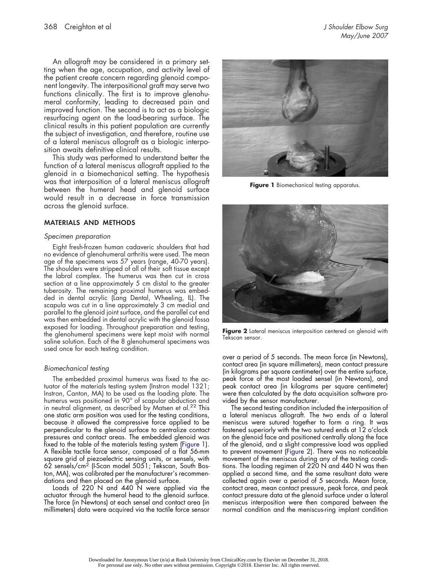An allograft may be considered in a primary setting when the age, occupation, and activity level of the patient create concern regarding glenoid component longevity. The interpositional graft may serve two functions clinically. The first is to improve glenohumeral conformity, leading to decreased pain and improved function. The second is to act as a biologic resurfacing agent on the load-bearing surface. The clinical results in this patient population are currently the subject of investigation, and therefore, routine use of a lateral meniscus allograft as a biologic interposition awaits definitive clinical results.

This study was performed to understand better the function of a lateral meniscus allograft applied to the glenoid in a biomechanical setting. The hypothesis was that interposition of a lateral meniscus allograft between the humeral head and glenoid surface would result in a decrease in force transmission across the glenoid surface.

### **MATERIALS AND METHODS**

#### *Specimen preparation*

Eight fresh-frozen human cadaveric shoulders that had no evidence of glenohumeral arthritis were used. The mean age of the specimens was 57 years (range, 40-70 years). The shoulders were stripped of all of their soft tissue except the labral complex. The humerus was then cut in cross section at a line approximately 5 cm distal to the greater tuberosity. The remaining proximal humerus was embedded in dental acrylic (Lang Dental, Wheeling, IL). The scapula was cut in a line approximately 3 cm medial and parallel to the glenoid joint surface, and the parallel cut end was then embedded in dental acrylic with the glenoid fossa exposed for loading. Throughout preparation and testing, the glenohumeral specimens were kept moist with normal saline solution. Each of the 8 glenohumeral specimens was used once for each testing condition.

#### *Biomechanical testing*

The embedded proximal humerus was fixed to the actuator of the materials testing system (Instron model 1321; Instron, Canton, MA) to be used as the loading plate. The humerus was positioned in 90° of scapular abduction and in neutral alignment, as described by Matsen et al.<sup>22</sup> This one static arm position was used for the testing conditions, because it allowed the compressive force applied to be perpendicular to the glenoid surface to centralize contact pressures and contact areas. The embedded glenoid was fixed to the table of the materials testing system (Figure 1). A flexible tactile force sensor, composed of a flat 56-mm square grid of piezoelectric sensing units, or sensels, with 62 sensels/cm<sup>2</sup> (I-Scan model 5051; Tekscan, South Boston, MA), was calibrated per the manufacturer's recommendations and then placed on the glenoid surface.

Loads of 220 N and 440 N were applied via the actuator through the humeral head to the glenoid surface. The force (in Newtons) at each sensel and contact area (in millimeters) data were acquired via the tactile force sensor



Figure 1 Biomechanical testing apparatus.



**Figure 2** Lateral meniscus interposition centered on glenoid with Tekscan sensor.

over a period of 5 seconds. The mean force (in Newtons), contact area (in square millimeters), mean contact pressure (in kilograms per square centimeter) over the entire surface, peak force of the most loaded sensel (in Newtons), and peak contact area (in kilograms per square centimeter) were then calculated by the data acquisition software provided by the sensor manufacturer.

The second testing condition included the interposition of a lateral meniscus allograft. The two ends of a lateral meniscus were sutured together to form a ring. It was fastened superiorly with the two sutured ends at 12 o'clock on the glenoid face and positioned centrally along the face of the glenoid, and a slight compressive load was applied to prevent movement (Figure 2). There was no noticeable movement of the meniscus during any of the testing conditions. The loading regimen of 220  $N$  and 440 N was then applied a second time, and the same resultant data were collected again over a period of 5 seconds. Mean force, contact area, mean contact pressure, peak force, and peak contact pressure data at the glenoid surface under a lateral meniscus interposition were then compared between the normal condition and the meniscus-ring implant condition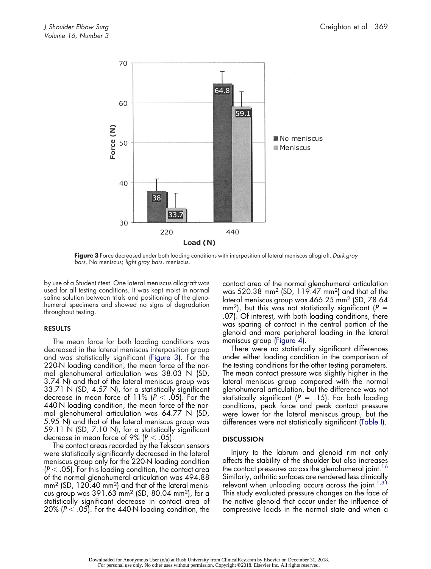

**Figure 3** Force decreased under both loading conditions with interposition of lateral meniscus allograft. *Dark gray bars*, No meniscus; *light gray bars*, meniscus.

by use of a Student *t* test. One lateral meniscus allograft was used for all testing conditions. It was kept moist in normal saline solution between trials and positioning of the glenohumeral specimens and showed no signs of degradation throughout testing.

## **RESULTS**

The mean force for both loading conditions was decreased in the lateral meniscus interposition group and was statistically significant (Figure 3). For the 220-N loading condition, the mean force of the normal glenohumeral articulation was 38.03 N (SD, 3.74 N) and that of the lateral meniscus group was 33.71 N (SD, 4.57 N), for a statistically significant decrease in mean force of  $11\%$  ( $P < .05$ ). For the 440-N loading condition, the mean force of the normal glenohumeral articulation was 64.77 N (SD, 5.95 N) and that of the lateral meniscus group was 59.11 N (SD, 7.10 N), for a statistically significant decrease in mean force of 9%  $(P < .05)$ .

The contact areas recorded by the Tekscan sensors were statistically significantly decreased in the lateral meniscus group only for the 220-N loading condition  $(P < .05)$ . For this loading condition, the contact area of the normal glenohumeral articulation was 494.88 mm<sup>2</sup> (SD, 120.40 mm2) and that of the lateral meniscus group was 391.63 mm<sup>2</sup> (SD, 80.04 mm2), for a statistically significant decrease in contact area of 20% ( $P < .05$ ). For the 440-N loading condition, the contact area of the normal glenohumeral articulation was 520.38 mm<sup>2</sup> (SD, 119.47 mm2) and that of the lateral meniscus group was 466.25 mm<sup>2</sup> (SD, 78.64 mm<sup>2</sup>), but this was not statistically significant ( $P =$ .07). Of interest, with both loading conditions, there was sparing of contact in the central portion of the glenoid and more peripheral loading in the lateral meniscus group (Figure 4).

There were no statistically significant differences under either loading condition in the comparison of the testing conditions for the other testing parameters. The mean contact pressure was slightly higher in the lateral meniscus group compared with the normal glenohumeral articulation, but the difference was not statistically significant ( $P = .15$ ). For both loading conditions, peak force and peak contact pressure were lower for the lateral meniscus group, but the differences were not statistically significant (Table I).

## **DISCUSSION**

Injury to the labrum and glenoid rim not only affects the stability of the shoulder but also increases the contact pressures across the glenohumeral joint.<sup>16</sup> Similarly, arthritic surfaces are rendered less clinically relevant when unloading occurs across the joint.<sup>1,31</sup> This study evaluated pressure changes on the face of the native glenoid that occur under the influence of compressive loads in the normal state and when a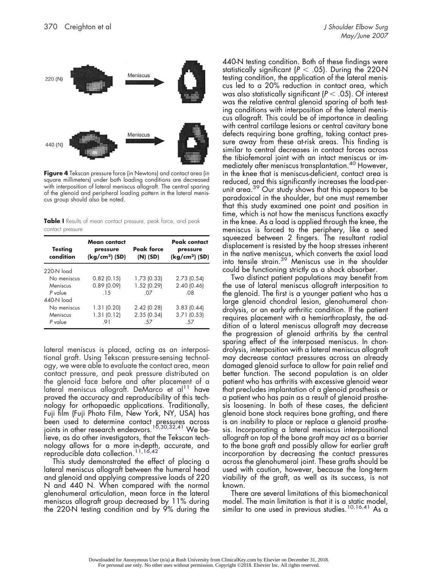

**Figure 4** Tekscan pressure force (in Newtons) and contact area (in square millimeters) under both loading conditions are decreased with interposition of lateral meniscus allograft. The central sparing of the glenoid and peripheral loading pattern in the lateral meniscus group should also be noted.

**Table I** Results of mean contact pressure, peak force, and peak contact pressure

| Testing<br>condition | <b>Mean contact</b><br>pressure<br>(kg/cm <sup>2</sup> ) (SD) | <b>Peak force</b><br>(N) (SD) | <b>Peak contact</b><br>pressure<br>(kg/cm <sup>2</sup> ) (SD) |
|----------------------|---------------------------------------------------------------|-------------------------------|---------------------------------------------------------------|
| $220-N$ load         |                                                               |                               |                                                               |
| No meniscus          | $0.82$ (0.15)                                                 | 1.73(0.33)                    | 2.73(0.54)                                                    |
| Meniscus             | 0.89(0.09)                                                    | 1.52 (0.29)                   | 2.40(0.46)                                                    |
| P value              | -1.5                                                          | -07                           | . Q8                                                          |
| $440-N$ load         |                                                               |                               |                                                               |
| No meniscus          | 1.31(0.20)                                                    | 2.42(0.28)                    | 3.83(0.44)                                                    |
| Meniscus             | 1.31(0.12)                                                    | 2.35(0.34)                    | 3.71(0.53)                                                    |
| P value              | -91                                                           | .57                           | .57                                                           |

lateral meniscus is placed, acting as an interpositional graft. Using Tekscan pressure-sensing technology, we were able to evaluate the contact area, mean contact pressure, and peak pressure distributed on the glenoid face before and after placement of a lateral meniscus allograft. DeMarco et al<sup>11</sup> have proved the accuracy and reproducibility of this technology for orthopaedic applications. Traditionally, Fuji film (Fuji Photo Film, New York, NY, USA) has been used to determine contact pressures across joints in other research endeavors.<sup>10,30,32,41</sup> We believe, as do other investigators, that the Tekscan technology allows for a more in-depth, accurate, and reproducible data collection.<sup>11,16,42</sup>

This study demonstrated the effect of placing a lateral meniscus allograft between the humeral head and glenoid and applying compressive loads of 220 N and 440 N. When compared with the normal glenohumeral articulation, mean force in the lateral meniscus allograft group decreased by 11% during the 220-N testing condition and by 9% during the 440-N testing condition. Both of these findings were statistically significant  $(P < .05)$ . During the 220-N testing condition, the application of the lateral meniscus led to a 20% reduction in contact area, which was also statistically significant ( $P < .05$ ). Of interest was the relative central glenoid sparing of both testing conditions with interposition of the lateral meniscus allograft. This could be of importance in dealing with central cartilage lesions or central cavitary bone defects requiring bone grafting, taking contact pressure away from these at-risk areas. This finding is similar to central decreases in contact forces across the tibiofemoral joint with an intact meniscus or immediately after meniscus transplantation.<sup>40</sup> However, in the knee that is meniscus-deficient, contact area is reduced, and this significantly increases the load-perunit area.<sup>39</sup> Our study shows that this appears to be paradoxical in the shoulder, but one must remember that this study examined one point and position in time, which is not how the meniscus functions exactly in the knee. As a load is applied through the knee, the meniscus is forced to the periphery, like a seed squeezed between 2 fingers. The resultant radial displacement is resisted by the hoop stresses inherent in the native meniscus, which converts the axial load into tensile strain.<sup>39</sup> Meniscus use in the shoulder could be functioning strictly as a shock absorber.

Two distinct patient populations may benefit from the use of lateral meniscus allograft interposition to the glenoid. The first is a younger patient who has a large glenoid chondral lesion, glenohumeral chondrolysis, or an early arthritic condition. If the patient requires placement with a hemiarthroplasty, the addition of a lateral meniscus allograft may decrease the progression of glenoid arthritis by the central sparing effect of the interposed meniscus. In chondrolysis, interposition with a lateral meniscus allograft may decrease contact pressures across an already damaged glenoid surface to allow for pain relief and better function. The second population is an older patient who has arthritis with excessive glenoid wear that precludes implantation of a glenoid prosthesis or a patient who has pain as a result of glenoid prosthesis loosening. In both of these cases, the deficient glenoid bone stock requires bone grafting, and there is an inability to place or replace a glenoid prosthesis. Incorporating a lateral meniscus interpositional allograft on top of the bone graft may act as a barrier to the bone graft and possibly allow for earlier graft incorporation by decreasing the contact pressures across the glenohumeral joint. These grafts should be used with caution, however, because the long-term viability of the graft, as well as its success, is not known.

There are several limitations of this biomechanical model. The main limitation is that it is a static model, similar to one used in previous studies.<sup>10,16,41</sup> As a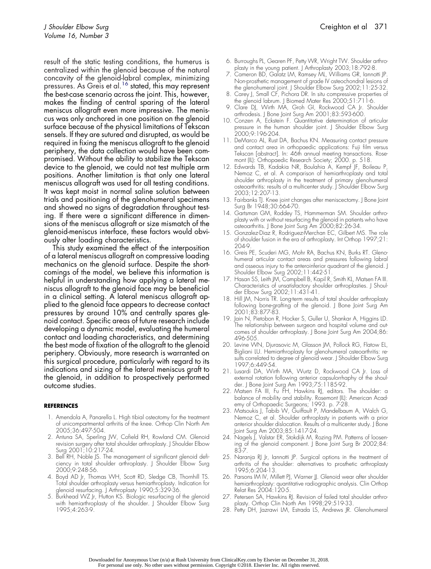result of the static testing conditions, the humerus is centralized within the glenoid because of the natural concavity of the glenoid-labral complex, minimizing pressures. As Greis et al.<sup>16</sup> stated, this may represent the best-case scenario across the joint. This, however, makes the finding of central sparing of the lateral meniscus allograft even more impressive. The meniscus was only anchored in one position on the glenoid surface because of the physical limitations of Tekscan sensels. If they are sutured and disrupted, as would be required in fixing the meniscus allograft to the glenoid periphery, the data collection would have been compromised. Without the ability to stabilize the Tekscan device to the glenoid, we could not test multiple arm positions. Another limitation is that only one lateral meniscus allograft was used for all testing conditions. It was kept moist in normal saline solution between trials and positioning of the glenohumeral specimens and showed no signs of degradation throughout testing. If there were a significant difference in dimensions of the meniscus allograft or size mismatch of the glenoid-meniscus interface, these factors would obviously alter loading characteristics.

This study examined the effect of the interposition of a lateral meniscus allograft on compressive loading mechanics on the glenoid surface. Despite the shortcomings of the model, we believe this information is helpful in understanding how applying a lateral meniscus allograft to the glenoid face may be beneficial in a clinical setting. A lateral meniscus allograft applied to the glenoid face appears to decrease contact pressures by around 10% and centrally spares glenoid contact. Specific areas of future research include developing a dynamic model, evaluating the humeral contact and loading characteristics, and determining the best mode of fixation of the allograft to the glenoid periphery. Obviously, more research is warranted on this surgical procedure, particularly with regard to its indications and sizing of the lateral meniscus graft to the glenoid, in addition to prospectively performed outcome studies.

#### **REFERENCES**

- 1. Amendola A, Panarella L. High tibial osteotomy for the treatment of unicompartmental arthritis of the knee. Orthop Clin North Am 2005;36:497-504.
- 2. Antuna SA, Sperling JW, Cofield RH, Rowland CM. Glenoid revision surgery after total shoulder arthroplasty. J Shoulder Elbow Surg 2001;10:217-24.
- 3. Bell RH, Noble JS. The management of significant glenoid deficiency in total shoulder arthroplasty. J Shoulder Elbow Surg 2000;9:248-56.
- 4. Boyd AD Jr, Thomas WH, Scott RD, Sledge CB, Thornhill TS. Total shoulder arthroplasty versus hemiarthroplasty. Indication for glenoid resurfacing. J Arthroplasty 1990;5:329-36.
- 5. Burkhead WZ Jr, Hutton KS. Biologic resurfacing of the glenoid with hemiarthroplasty of the shoulder. J Shoulder Elbow Surg 1995;4:263-9.
- 6. Burroughs PL, Gearen PF, Petty WR, Wright TW. Shoulder arthroplasty in the young patient. J Arthroplasty 2003;18:792-8.
- 7. Cameron BD, Galatz LM, Ramsey ML, Williams GR, Iannotti JP. Non-prosthetic management of grade IV osteochondral lesions of the glenohumeral joint. J Shoulder Elbow Surg 2002;11:25-32.
- 8. Carey J, Small CF, Pichora DR. In situ compressive properties of the glenoid labrum. J Biomed Mater Res 2000;51:711-6.
- 9. Clare DJ, Wirth MA, Groh GI, Rockwood CA Jr. Shoulder arthrodesis. J Bone Joint Surg Am 2001;83:593-600.
- 10. Conzen A, Eckstein F. Quantitative determination of articular pressure in the human shoulder joint. J Shoulder Elbow Surg 2000;9:196-204.
- 11. DeMarco AL, Rust DA, Bachus KN. Measuring contact pressure and contact area in orthopaedic applications: Fuji film versus Tekscan [abstract]. In: 46th annual meeting transactions. Rosemont (IL): Orthopaedic Research Society; 2000. p. 518.
- 12. Edwards TB, Kadakia NR, Boulahia A, Kempf JF, Boileau P, Nemoz C, et al. A comparison of hemiarthroplasty and total shoulder arthroplasty in the treatment of primary glenohumeral osteoarthritis: results of a multicenter study. J Shoulder Elbow Surg 2003;12:207-13.
- 13. Fairbanks TJ. Knee joint changes after meniscectomy. J Bone Joint Surg Br 1948;30:664-70.
- 14. Gartsman GM, Roddey TS, Hammerman SM. Shoulder arthroplasty with or without resurfacing the glenoid in patients who have osteoarthritis. J Bone Joint Surg Am 2000;82:26-34.
- 15. Gonzalez-Diaz R, Rodriguez-Merchan EC, Gilbert MS. The role of shoulder fusion in the era of arthroplasty. Int Orthop 1997;21: 204-9.
- 16. Greis PE, Scuderi MG, Mohr RA, Bachus KN, Burks RT. Glenohumeral articular contact areas and pressures following labral and osseous injury to the anteroinferior quadrant of the glenoid. J Shoulder Elbow Surg 2002;11:442-51.
- 17. Hasan SS, Leith JM, Campbell B, Kapil R, Smith KL, Matsen FA III. Characteristics of unsatisfactory shoulder arthroplasties. J Shoulder Elbow Surg 2002;11:431-41.
- 18. Hill JM, Norris TR. Long-term results of total shoulder arthroplasty following bone-grafting of the glenoid. J Bone Joint Surg Am 2001;83:877-83.
- 19. Jain N, Pietobon R, Hocker S, Guller U, Shankar A, Higgins LD. The relationship between surgeon and hospital volume and outcomes of shoulder arthroplasty. J Bone Joint Surg Am 2004;86: 496-505.
- 20. Levine WN, Djurasovic M, Glasson JM, Pollock RG, Flatow EL, Bigliani LU. Hemiarthroplasty for glenohumeral osteoarthritis: results correlated to degree of glenoid wear. J Shoulder Elbow Surg 1997;6:449-54.
- 21. Lusardi DA, Wirth MA, Wurtz D, Rockwood CA Jr. Loss of external rotation following anterior capsulorrhaphy of the shoulder. J Bone Joint Surg Am 1993;75:1185-92.
- 22. Matsen FA III, Fu FH, Hawkins RJ, editors. The shoulder: a balance of mobility and stability. Rosemont (IL): American Academy of Orthopaedic Surgeons; 1993. p. 7-28.
- 23. Matsoukis J, Tabib W, Guiffault P, Mandelbaum A, Walch G, Nemoz C, et al. Shoulder arthroplasty in patients with a prior anterior shoulder dislocation. Results of a multicenter study. J Bone Joint Surg Am 2003;85:1417-24.
- 24. Nagels J, Valstar ER, Stokdijk M, Rozing PM. Patterns of loosening of the glenoid component. J Bone Joint Surg Br 2002;84: 83-7.
- 25. Naranja RJ Jr, lannotti JP. Surgical options in the treatment of arthritis of the shoulder: alternatives to prosthetic arthroplasty 1995;6:204-13.
- 26. Parsons IM IV, Millett PJ, Warner JJ. Glenoid wear after shoulder hemiarthroplasty: quantitative radiographic analysis. Clin Orthop Relat Res 2004:120-5.
- 27. Petersen SA, Hawkins RJ. Revision of failed total shoulder arthroplasty. Orthop Clin North Am 1998;29:519-33.
- 28. Petty DH, Jazrawi LM, Estrada LS, Andrews JR. Glenohumeral